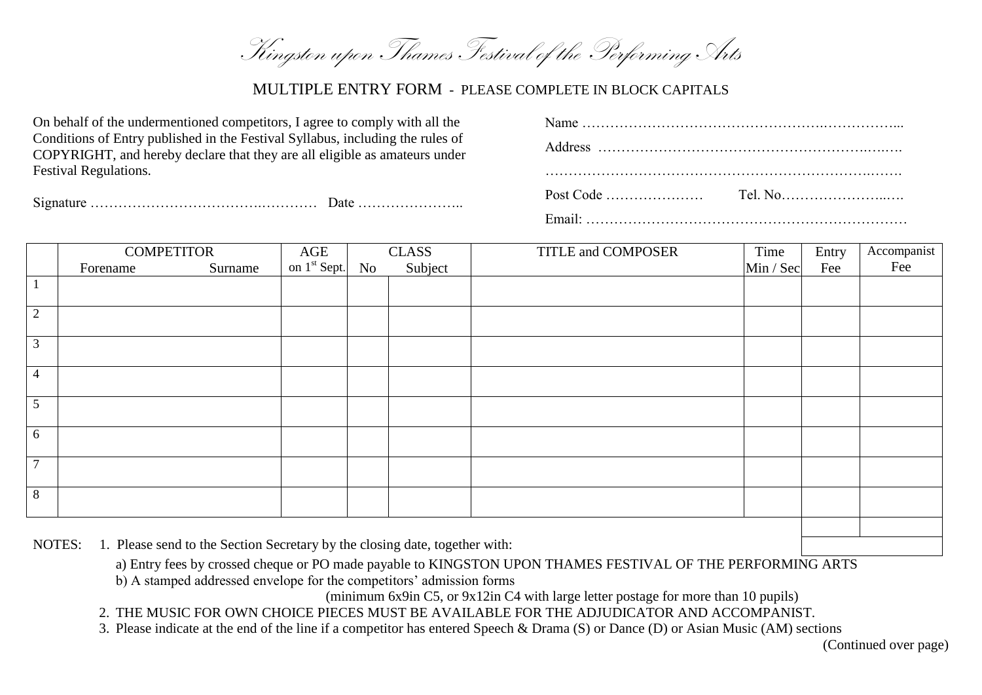Kingston upon Thames Festival of the Performing Arts

## MULTIPLE ENTRY FORM - PLEASE COMPLETE IN BLOCK CAPITALS

| On behalf of the undermentioned competitors, I agree to comply with all the                                                                                  |  | Name $\ldots$ $\ldots$ $\ldots$ $\ldots$ $\ldots$ $\ldots$ $\ldots$ $\ldots$ $\ldots$ $\ldots$ $\ldots$ $\ldots$ $\ldots$ $\ldots$ |  |  |
|--------------------------------------------------------------------------------------------------------------------------------------------------------------|--|------------------------------------------------------------------------------------------------------------------------------------|--|--|
| Conditions of Entry published in the Festival Syllabus, including the rules of<br>COPYRIGHT, and hereby declare that they are all eligible as amateurs under |  |                                                                                                                                    |  |  |
| <b>Festival Regulations.</b>                                                                                                                                 |  |                                                                                                                                    |  |  |
|                                                                                                                                                              |  |                                                                                                                                    |  |  |
|                                                                                                                                                              |  |                                                                                                                                    |  |  |

|                | <b>COMPETITOR</b> |         | $\left[\begin{array}{c c}\n\text{AGE} \\ \text{on 1}^{\text{st}}\text{Sept.}\n\end{array}\right]$ No<br>CLASS |         | TITLE and COMPOSER | Time      | Entry | Accompanist |
|----------------|-------------------|---------|---------------------------------------------------------------------------------------------------------------|---------|--------------------|-----------|-------|-------------|
|                | Forename          | Surname |                                                                                                               | Subject |                    | Min / Sec | Fee   | Fee         |
|                |                   |         |                                                                                                               |         |                    |           |       |             |
|                |                   |         |                                                                                                               |         |                    |           |       |             |
| $\overline{2}$ |                   |         |                                                                                                               |         |                    |           |       |             |
| 3              |                   |         |                                                                                                               |         |                    |           |       |             |
|                |                   |         |                                                                                                               |         |                    |           |       |             |
| $\overline{4}$ |                   |         |                                                                                                               |         |                    |           |       |             |
|                |                   |         |                                                                                                               |         |                    |           |       |             |
| 5              |                   |         |                                                                                                               |         |                    |           |       |             |
|                |                   |         |                                                                                                               |         |                    |           |       |             |
| 6              |                   |         |                                                                                                               |         |                    |           |       |             |
| $\mathcal{I}$  |                   |         |                                                                                                               |         |                    |           |       |             |
|                |                   |         |                                                                                                               |         |                    |           |       |             |
| 8              |                   |         |                                                                                                               |         |                    |           |       |             |
|                |                   |         |                                                                                                               |         |                    |           |       |             |

NOTES: 1. Please send to the Section Secretary by the closing date, together with:

a) Entry fees by crossed cheque or PO made payable to KINGSTON UPON THAMES FESTIVAL OF THE PERFORMING ARTS

b) A stamped addressed envelope for the competitors' admission forms

(minimum 6x9in C5, or 9x12in C4 with large letter postage for more than 10 pupils)

2. THE MUSIC FOR OWN CHOICE PIECES MUST BE AVAILABLE FOR THE ADJUDICATOR AND ACCOMPANIST.

3. Please indicate at the end of the line if a competitor has entered Speech & Drama (S) or Dance (D) or Asian Music (AM) sections